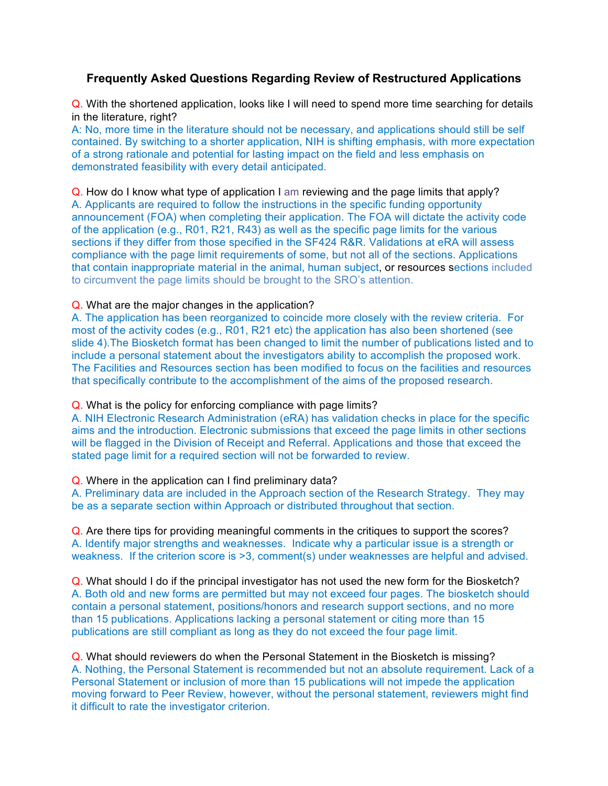# **Frequently Asked Questions Regarding Review of Restructured Applications**

Q. With the shortened application, looks like I will need to spend more time searching for details in the literature, right?

A: No, more time in the literature should not be necessary, and applications should still be self contained. By switching to a shorter application, NIH is shifting emphasis, with more expectation of a strong rationale and potential for lasting impact on the field and less emphasis on demonstrated feasibility with every detail anticipated.

Q. How do I know what type of application I am reviewing and the page limits that apply? A. Applicants are required to follow the instructions in the specific funding opportunity announcement (FOA) when completing their application. The FOA will dictate the activity code of the application (e.g., R01, R21, R43) as well as the specific page limits for the various sections if they differ from those specified in the SF424 R&R. Validations at eRA will assess compliance with the page limit requirements of some, but not all of the sections. Applications that contain inappropriate material in the animal, human subject, or resources sections included to circumvent the page limits should be brought to the SRO's attention.

### Q. What are the major changes in the application?

A. The application has been reorganized to coincide more closely with the review criteria. For most of the activity codes (e.g., R01, R21 etc) the application has also been shortened (see slide 4).The Biosketch format has been changed to limit the number of publications listed and to include a personal statement about the investigators ability to accomplish the proposed work. The Facilities and Resources section has been modified to focus on the facilities and resources that specifically contribute to the accomplishment of the aims of the proposed research.

#### Q. What is the policy for enforcing compliance with page limits?

A. NIH Electronic Research Administration (eRA) has validation checks in place for the specific aims and the introduction. Electronic submissions that exceed the page limits in other sections will be flagged in the Division of Receipt and Referral. Applications and those that exceed the stated page limit for a required section will not be forwarded to review.

#### Q. Where in the application can I find preliminary data?

A. Preliminary data are included in the Approach section of the Research Strategy. They may be as a separate section within Approach or distributed throughout that section.

Q. Are there tips for providing meaningful comments in the critiques to support the scores? A. Identify major strengths and weaknesses. Indicate why a particular issue is a strength or weakness. If the criterion score is >3, comment(s) under weaknesses are helpful and advised.

Q. What should I do if the principal investigator has not used the new form for the Biosketch? A. Both old and new forms are permitted but may not exceed four pages. The biosketch should contain a personal statement, positions/honors and research support sections, and no more than 15 publications. Applications lacking a personal statement or citing more than 15 publications are still compliant as long as they do not exceed the four page limit.

Q. What should reviewers do when the Personal Statement in the Biosketch is missing? A. Nothing, the Personal Statement is recommended but not an absolute requirement. Lack of a Personal Statement or inclusion of more than 15 publications will not impede the application moving forward to Peer Review, however, without the personal statement, reviewers might find it difficult to rate the investigator criterion.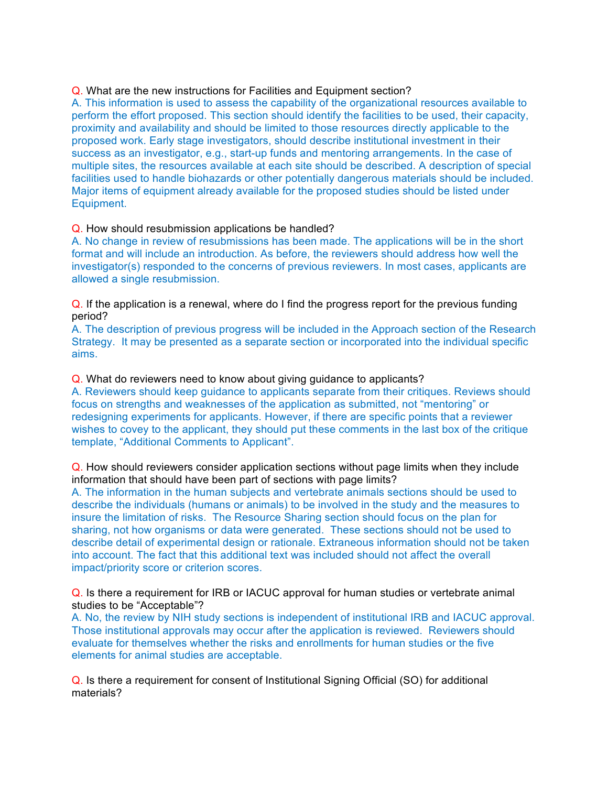## Q. What are the new instructions for Facilities and Equipment section?

A. This information is used to assess the capability of the organizational resources available to perform the effort proposed. This section should identify the facilities to be used, their capacity, proximity and availability and should be limited to those resources directly applicable to the proposed work. Early stage investigators, should describe institutional investment in their success as an investigator, e.g., start-up funds and mentoring arrangements. In the case of multiple sites, the resources available at each site should be described. A description of special facilities used to handle biohazards or other potentially dangerous materials should be included. Major items of equipment already available for the proposed studies should be listed under Equipment.

## Q. How should resubmission applications be handled?

A. No change in review of resubmissions has been made. The applications will be in the short format and will include an introduction. As before, the reviewers should address how well the investigator(s) responded to the concerns of previous reviewers. In most cases, applicants are allowed a single resubmission.

Q. If the application is a renewal, where do I find the progress report for the previous funding period?

A. The description of previous progress will be included in the Approach section of the Research Strategy. It may be presented as a separate section or incorporated into the individual specific aims.

## Q. What do reviewers need to know about giving guidance to applicants?

A. Reviewers should keep guidance to applicants separate from their critiques. Reviews should focus on strengths and weaknesses of the application as submitted, not "mentoring" or redesigning experiments for applicants. However, if there are specific points that a reviewer wishes to covey to the applicant, they should put these comments in the last box of the critique template, "Additional Comments to Applicant".

# Q. How should reviewers consider application sections without page limits when they include information that should have been part of sections with page limits?

A. The information in the human subjects and vertebrate animals sections should be used to describe the individuals (humans or animals) to be involved in the study and the measures to insure the limitation of risks. The Resource Sharing section should focus on the plan for sharing, not how organisms or data were generated. These sections should not be used to describe detail of experimental design or rationale. Extraneous information should not be taken into account. The fact that this additional text was included should not affect the overall impact/priority score or criterion scores.

Q. Is there a requirement for IRB or IACUC approval for human studies or vertebrate animal studies to be "Acceptable"?

A. No, the review by NIH study sections is independent of institutional IRB and IACUC approval. Those institutional approvals may occur after the application is reviewed. Reviewers should evaluate for themselves whether the risks and enrollments for human studies or the five elements for animal studies are acceptable.

Q. Is there a requirement for consent of Institutional Signing Official (SO) for additional materials?